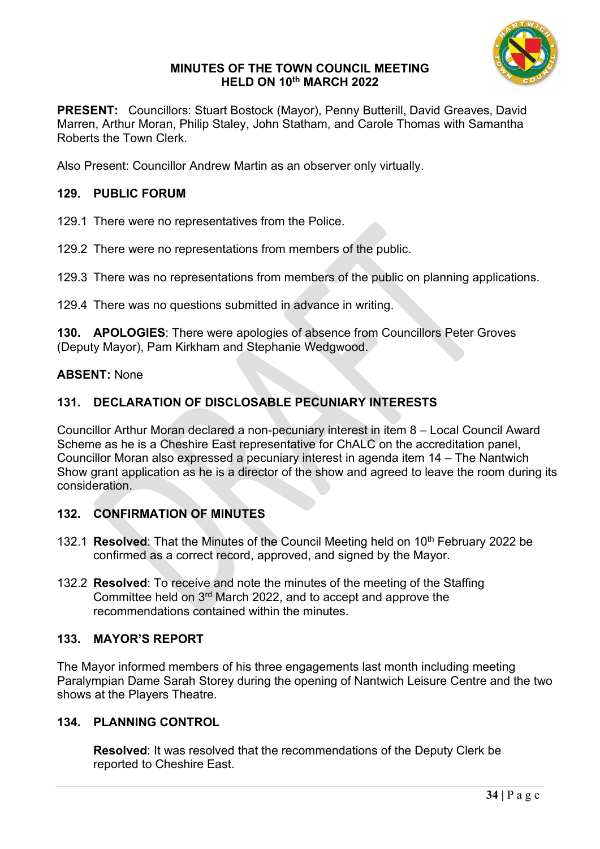

#### **MINUTES OF THE TOWN COUNCIL MEETING HELD ON 10th MARCH 2022**

**PRESENT:** Councillors: Stuart Bostock (Mayor), Penny Butterill, David Greaves, David Marren, Arthur Moran, Philip Staley, John Statham, and Carole Thomas with Samantha Roberts the Town Clerk.

Also Present: Councillor Andrew Martin as an observer only virtually.

### **129. PUBLIC FORUM**

129.1 There were no representatives from the Police.

129.2 There were no representations from members of the public.

129.3 There was no representations from members of the public on planning applications.

129.4 There was no questions submitted in advance in writing.

**130. APOLOGIES**: There were apologies of absence from Councillors Peter Groves (Deputy Mayor), Pam Kirkham and Stephanie Wedgwood.

#### **ABSENT:** None

## **131. DECLARATION OF DISCLOSABLE PECUNIARY INTERESTS**

Councillor Arthur Moran declared a non-pecuniary interest in item 8 – Local Council Award Scheme as he is a Cheshire East representative for ChALC on the accreditation panel, Councillor Moran also expressed a pecuniary interest in agenda item 14 – The Nantwich Show grant application as he is a director of the show and agreed to leave the room during its consideration.

#### **132. CONFIRMATION OF MINUTES**

- 132.1 **Resolved**: That the Minutes of the Council Meeting held on 10th February 2022 be confirmed as a correct record, approved, and signed by the Mayor.
- 132.2 **Resolved**: To receive and note the minutes of the meeting of the Staffing Committee held on 3rd March 2022, and to accept and approve the recommendations contained within the minutes.

### **133. MAYOR'S REPORT**

The Mayor informed members of his three engagements last month including meeting Paralympian Dame Sarah Storey during the opening of Nantwich Leisure Centre and the two shows at the Players Theatre.

### **134. PLANNING CONTROL**

**Resolved**: It was resolved that the recommendations of the Deputy Clerk be reported to Cheshire East.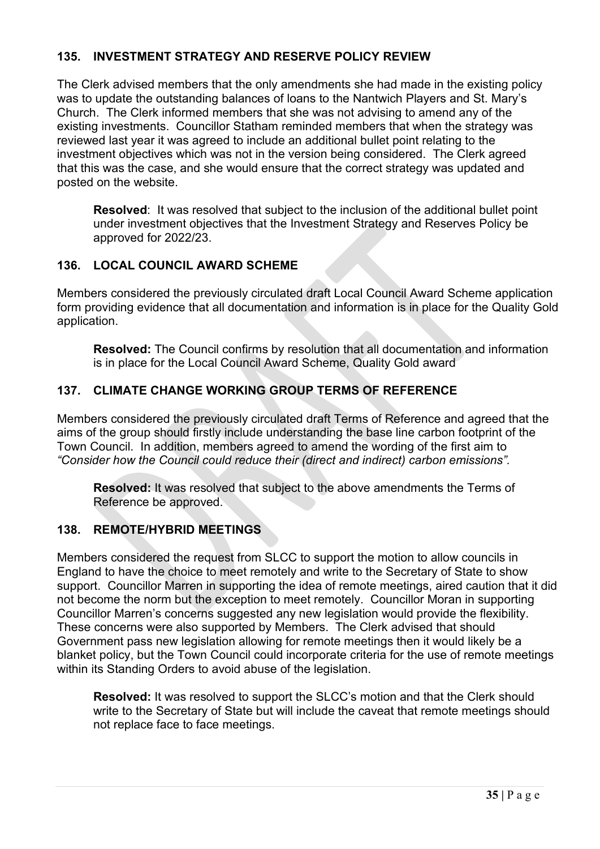# **135. INVESTMENT STRATEGY AND RESERVE POLICY REVIEW**

The Clerk advised members that the only amendments she had made in the existing policy was to update the outstanding balances of loans to the Nantwich Players and St. Mary's Church. The Clerk informed members that she was not advising to amend any of the existing investments. Councillor Statham reminded members that when the strategy was reviewed last year it was agreed to include an additional bullet point relating to the investment objectives which was not in the version being considered. The Clerk agreed that this was the case, and she would ensure that the correct strategy was updated and posted on the website.

**Resolved**: It was resolved that subject to the inclusion of the additional bullet point under investment objectives that the Investment Strategy and Reserves Policy be approved for 2022/23.

## **136. LOCAL COUNCIL AWARD SCHEME**

Members considered the previously circulated draft Local Council Award Scheme application form providing evidence that all documentation and information is in place for the Quality Gold application.

**Resolved:** The Council confirms by resolution that all documentation and information is in place for the Local Council Award Scheme, Quality Gold award

# **137. CLIMATE CHANGE WORKING GROUP TERMS OF REFERENCE**

Members considered the previously circulated draft Terms of Reference and agreed that the aims of the group should firstly include understanding the base line carbon footprint of the Town Council. In addition, members agreed to amend the wording of the first aim to *"Consider how the Council could reduce their (direct and indirect) carbon emissions".*

**Resolved:** It was resolved that subject to the above amendments the Terms of Reference be approved.

## **138. REMOTE/HYBRID MEETINGS**

Members considered the request from SLCC to support the motion to allow councils in England to have the choice to meet remotely and write to the Secretary of State to show support. Councillor Marren in supporting the idea of remote meetings, aired caution that it did not become the norm but the exception to meet remotely. Councillor Moran in supporting Councillor Marren's concerns suggested any new legislation would provide the flexibility. These concerns were also supported by Members. The Clerk advised that should Government pass new legislation allowing for remote meetings then it would likely be a blanket policy, but the Town Council could incorporate criteria for the use of remote meetings within its Standing Orders to avoid abuse of the legislation.

**Resolved:** It was resolved to support the SLCC's motion and that the Clerk should write to the Secretary of State but will include the caveat that remote meetings should not replace face to face meetings.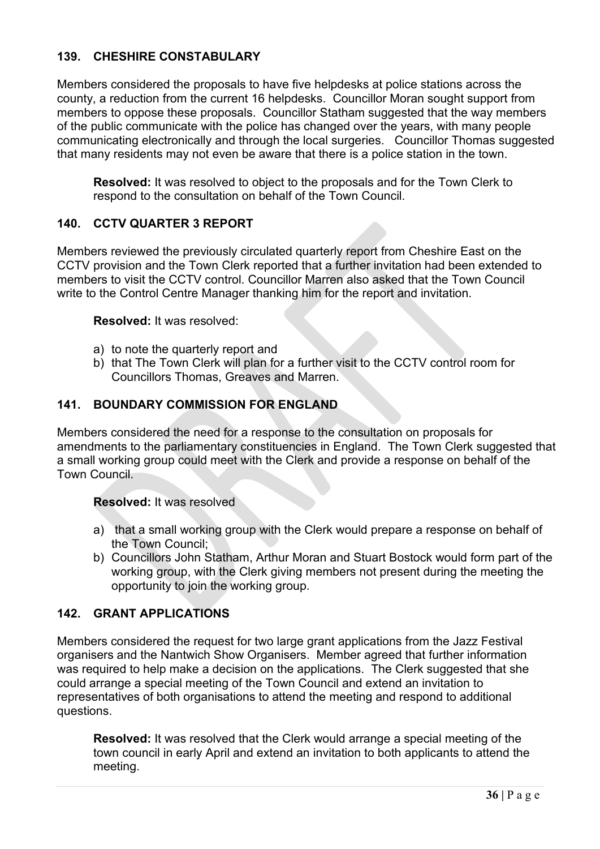## **139. CHESHIRE CONSTABULARY**

Members considered the proposals to have five helpdesks at police stations across the county, a reduction from the current 16 helpdesks. Councillor Moran sought support from members to oppose these proposals. Councillor Statham suggested that the way members of the public communicate with the police has changed over the years, with many people communicating electronically and through the local surgeries. Councillor Thomas suggested that many residents may not even be aware that there is a police station in the town.

**Resolved:** It was resolved to object to the proposals and for the Town Clerk to respond to the consultation on behalf of the Town Council.

# **140. CCTV QUARTER 3 REPORT**

Members reviewed the previously circulated quarterly report from Cheshire East on the CCTV provision and the Town Clerk reported that a further invitation had been extended to members to visit the CCTV control. Councillor Marren also asked that the Town Council write to the Control Centre Manager thanking him for the report and invitation.

#### **Resolved:** It was resolved:

- a) to note the quarterly report and
- b) that The Town Clerk will plan for a further visit to the CCTV control room for Councillors Thomas, Greaves and Marren.

## **141. BOUNDARY COMMISSION FOR ENGLAND**

Members considered the need for a response to the consultation on proposals for amendments to the parliamentary constituencies in England. The Town Clerk suggested that a small working group could meet with the Clerk and provide a response on behalf of the Town Council.

### **Resolved:** It was resolved

- a) that a small working group with the Clerk would prepare a response on behalf of the Town Council;
- b) Councillors John Statham, Arthur Moran and Stuart Bostock would form part of the working group, with the Clerk giving members not present during the meeting the opportunity to join the working group.

## **142. GRANT APPLICATIONS**

Members considered the request for two large grant applications from the Jazz Festival organisers and the Nantwich Show Organisers. Member agreed that further information was required to help make a decision on the applications. The Clerk suggested that she could arrange a special meeting of the Town Council and extend an invitation to representatives of both organisations to attend the meeting and respond to additional questions.

**Resolved:** It was resolved that the Clerk would arrange a special meeting of the town council in early April and extend an invitation to both applicants to attend the meeting.